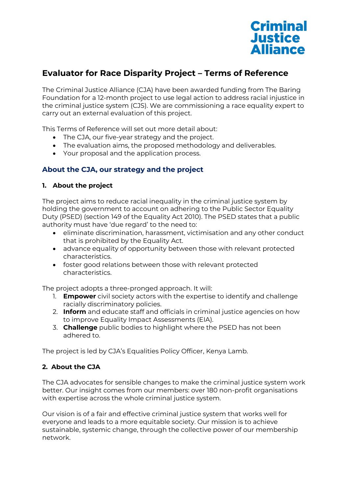

# **Evaluator for Race Disparity Project – Terms of Reference**

The Criminal Justice Alliance (CJA) have been awarded funding from The Baring Foundation for a 12-month project to use legal action to address racial injustice in the criminal justice system (CJS). We are commissioning a race equality expert to carry out an external evaluation of this project.

This Terms of Reference will set out more detail about:

- The CJA, our five-year strategy and the project.
- The evaluation aims, the proposed methodology and deliverables.
- Your proposal and the application process.

# **About the CJA, our strategy and the project**

#### **1. About the project**

The project aims to reduce racial inequality in the criminal justice system by holding the government to account on adhering to the Public Sector Equality Duty (PSED) (section 149 of the Equality Act 2010). The PSED states that a public authority must have 'due regard' to the need to:

- eliminate discrimination, harassment, victimisation and any other conduct that is prohibited by the Equality Act.
- advance equality of opportunity between those with relevant protected characteristics.
- foster good relations between those with relevant protected characteristics.

The project adopts a three-pronged approach. It will:

- 1. **Empower** civil society actors with the expertise to identify and challenge racially discriminatory policies.
- 2. **Inform** and educate staff and officials in criminal justice agencies on how to improve Equality Impact Assessments (EIA).
- 3. **Challenge** public bodies to highlight where the PSED has not been adhered to.

The project is led by CJA's Equalities Policy Officer, Kenya Lamb.

# **2. About the CJA**

The CJA advocates for sensible changes to make the criminal justice system work better. Our insight comes from our members: over 180 non-profit organisations with expertise across the whole criminal justice system.

Our vision is of a fair and effective criminal justice system that works well for everyone and leads to a more equitable society. Our mission is to achieve sustainable, systemic change, through the collective power of our membership network.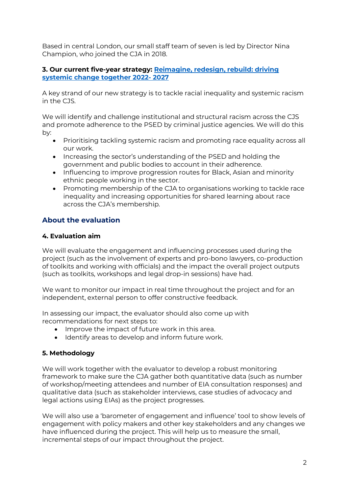Based in central London, our small staff team of seven is led by Director Nina Champion, who joined the CJA in 2018.

# **3. Our current five-year strategy: [Reimagine, redesign, rebuild: driving](https://www.criminaljusticealliance.org/wp-content/uploads/CJA-Strategy-2022-2027.pdf)  [systemic change together 2022-](https://www.criminaljusticealliance.org/wp-content/uploads/CJA-Strategy-2022-2027.pdf) 2027**

A key strand of our new strategy is to tackle racial inequality and systemic racism in the CJS.

We will identify and challenge institutional and structural racism across the CJS and promote adherence to the PSED by criminal justice agencies. We will do this by:

- Prioritising tackling systemic racism and promoting race equality across all our work.
- Increasing the sector's understanding of the PSED and holding the government and public bodies to account in their adherence.
- Influencing to improve progression routes for Black, Asian and minority ethnic people working in the sector.
- Promoting membership of the CJA to organisations working to tackle race inequality and increasing opportunities for shared learning about race across the CJA's membership.

# **About the evaluation**

# **4. Evaluation aim**

We will evaluate the engagement and influencing processes used during the project (such as the involvement of experts and pro-bono lawyers, co-production of toolkits and working with officials) and the impact the overall project outputs (such as toolkits, workshops and legal drop-in sessions) have had.

We want to monitor our impact in real time throughout the project and for an independent, external person to offer constructive feedback.

In assessing our impact, the evaluator should also come up with recommendations for next steps to:

- Improve the impact of future work in this area.
- Identify areas to develop and inform future work.

# **5. Methodology**

We will work together with the evaluator to develop a robust monitoring framework to make sure the CJA gather both quantitative data (such as number of workshop/meeting attendees and number of EIA consultation responses) and qualitative data (such as stakeholder interviews, case studies of advocacy and legal actions using EIAs) as the project progresses.

We will also use a 'barometer of engagement and influence' tool to show levels of engagement with policy makers and other key stakeholders and any changes we have influenced during the project. This will help us to measure the small, incremental steps of our impact throughout the project.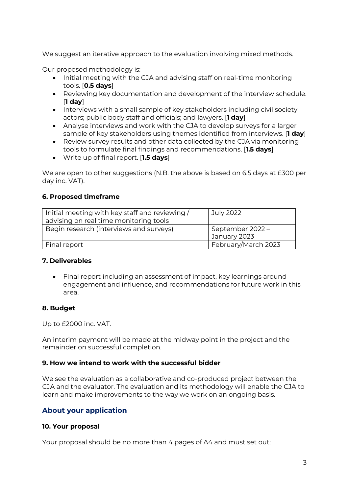We suggest an iterative approach to the evaluation involving mixed methods.

Our proposed methodology is:

- Initial meeting with the CJA and advising staff on real-time monitoring tools. [**0.5 days**]
- Reviewing key documentation and development of the interview schedule. [**1 day**]
- Interviews with a small sample of key stakeholders including civil society actors; public body staff and officials; and lawyers. [**1 day**]
- Analyse interviews and work with the CJA to develop surveys for a larger sample of key stakeholders using themes identified from interviews. [**1 day**]
- Review survey results and other data collected by the CJA via monitoring tools to formulate final findings and recommendations. [**1.5 days**]
- Write up of final report. [**1.5 days**]

We are open to other suggestions (N.B. the above is based on 6.5 days at £300 per day inc. VAT).

# **6. Proposed timeframe**

| Initial meeting with key staff and reviewing / | July 2022           |
|------------------------------------------------|---------------------|
| advising on real time monitoring tools         |                     |
| Begin research (interviews and surveys)        | September 2022 -    |
|                                                | January 2023        |
| Final report                                   | February/March 2023 |

# **7. Deliverables**

• Final report including an assessment of impact, key learnings around engagement and influence, and recommendations for future work in this area.

# **8. Budget**

Up to £2000 inc. VAT.

An interim payment will be made at the midway point in the project and the remainder on successful completion.

# **9. How we intend to work with the successful bidder**

We see the evaluation as a collaborative and co-produced project between the CJA and the evaluator. The evaluation and its methodology will enable the CJA to learn and make improvements to the way we work on an ongoing basis.

# **About your application**

# **10. Your proposal**

Your proposal should be no more than 4 pages of A4 and must set out: